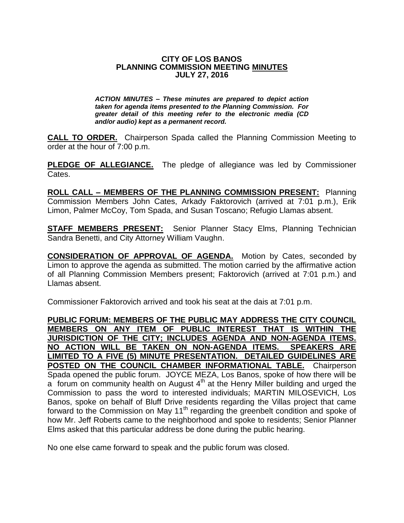## **CITY OF LOS BANOS PLANNING COMMISSION MEETING MINUTES JULY 27, 2016**

*ACTION MINUTES – These minutes are prepared to depict action taken for agenda items presented to the Planning Commission. For greater detail of this meeting refer to the electronic media (CD and/or audio) kept as a permanent record.*

**CALL TO ORDER.** Chairperson Spada called the Planning Commission Meeting to order at the hour of 7:00 p.m.

**PLEDGE OF ALLEGIANCE.** The pledge of allegiance was led by Commissioner Cates.

**ROLL CALL – MEMBERS OF THE PLANNING COMMISSION PRESENT:** Planning Commission Members John Cates, Arkady Faktorovich (arrived at 7:01 p.m.), Erik Limon, Palmer McCoy, Tom Spada, and Susan Toscano; Refugio Llamas absent.

**STAFF MEMBERS PRESENT:** Senior Planner Stacy Elms, Planning Technician Sandra Benetti, and City Attorney William Vaughn.

**CONSIDERATION OF APPROVAL OF AGENDA.** Motion by Cates, seconded by Limon to approve the agenda as submitted. The motion carried by the affirmative action of all Planning Commission Members present; Faktorovich (arrived at 7:01 p.m.) and Llamas absent.

Commissioner Faktorovich arrived and took his seat at the dais at 7:01 p.m.

**PUBLIC FORUM: MEMBERS OF THE PUBLIC MAY ADDRESS THE CITY COUNCIL MEMBERS ON ANY ITEM OF PUBLIC INTEREST THAT IS WITHIN THE JURISDICTION OF THE CITY; INCLUDES AGENDA AND NON-AGENDA ITEMS. NO ACTION WILL BE TAKEN ON NON-AGENDA ITEMS. SPEAKERS ARE LIMITED TO A FIVE (5) MINUTE PRESENTATION. DETAILED GUIDELINES ARE POSTED ON THE COUNCIL CHAMBER INFORMATIONAL TABLE.** Chairperson Spada opened the public forum. JOYCE MEZA, Los Banos, spoke of how there will be a forum on community health on August  $4<sup>th</sup>$  at the Henry Miller building and urged the Commission to pass the word to interested individuals; MARTIN MILOSEVICH, Los Banos, spoke on behalf of Bluff Drive residents regarding the Villas project that came forward to the Commission on May 11<sup>th</sup> regarding the greenbelt condition and spoke of how Mr. Jeff Roberts came to the neighborhood and spoke to residents; Senior Planner Elms asked that this particular address be done during the public hearing.

No one else came forward to speak and the public forum was closed.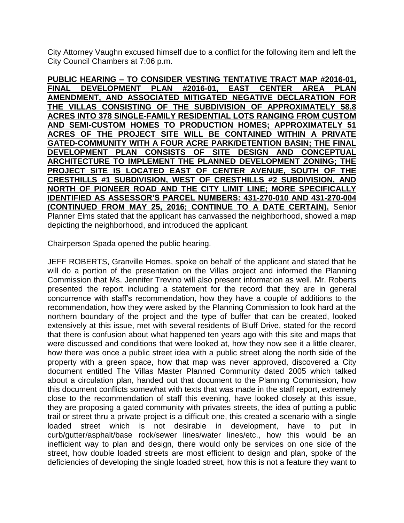City Attorney Vaughn excused himself due to a conflict for the following item and left the City Council Chambers at 7:06 p.m.

**PUBLIC HEARING – TO CONSIDER VESTING TENTATIVE TRACT MAP #2016-01, FINAL DEVELOPMENT PLAN #2016-01, EAST CENTER AREA PLAN AMENDMENT, AND ASSOCIATED MITIGATED NEGATIVE DECLARATION FOR THE VILLAS CONSISTING OF THE SUBDIVISION OF APPROXIMATELY 58.8 ACRES INTO 378 SINGLE-FAMILY RESIDENTIAL LOTS RANGING FROM CUSTOM AND SEMI-CUSTOM HOMES TO PRODUCTION HOMES; APPROXIMATELY 51 ACRES OF THE PROJECT SITE WILL BE CONTAINED WITHIN A PRIVATE GATED-COMMUNITY WITH A FOUR ACRE PARK/DETENTION BASIN; THE FINAL DEVELOPMENT PLAN CONSISTS OF SITE DESIGN AND CONCEPTUAL ARCHITECTURE TO IMPLEMENT THE PLANNED DEVELOPMENT ZONING; THE PROJECT SITE IS LOCATED EAST OF CENTER AVENUE, SOUTH OF THE CRESTHILLS #1 SUBDIVISION, WEST OF CRESTHILLS #2 SUBDIVISION, AND NORTH OF PIONEER ROAD AND THE CITY LIMIT LINE; MORE SPECIFICALLY IDENTIFIED AS ASSESSOR'S PARCEL NUMBERS: 431-270-010 AND 431-270-004 (CONTINUED FROM MAY 25, 2016; CONTINUE TO A DATE CERTAIN).** Senior Planner Elms stated that the applicant has canvassed the neighborhood, showed a map depicting the neighborhood, and introduced the applicant.

Chairperson Spada opened the public hearing.

JEFF ROBERTS, Granville Homes, spoke on behalf of the applicant and stated that he will do a portion of the presentation on the Villas project and informed the Planning Commission that Ms. Jennifer Trevino will also present information as well. Mr. Roberts presented the report including a statement for the record that they are in general concurrence with staff's recommendation, how they have a couple of additions to the recommendation, how they were asked by the Planning Commission to look hard at the northern boundary of the project and the type of buffer that can be created, looked extensively at this issue, met with several residents of Bluff Drive, stated for the record that there is confusion about what happened ten years ago with this site and maps that were discussed and conditions that were looked at, how they now see it a little clearer, how there was once a public street idea with a public street along the north side of the property with a green space, how that map was never approved, discovered a City document entitled The Villas Master Planned Community dated 2005 which talked about a circulation plan, handed out that document to the Planning Commission, how this document conflicts somewhat with texts that was made in the staff report, extremely close to the recommendation of staff this evening, have looked closely at this issue, they are proposing a gated community with privates streets, the idea of putting a public trail or street thru a private project is a difficult one, this created a scenario with a single loaded street which is not desirable in development, have to put in curb/gutter/asphalt/base rock/sewer lines/water lines/etc., how this would be an inefficient way to plan and design, there would only be services on one side of the street, how double loaded streets are most efficient to design and plan, spoke of the deficiencies of developing the single loaded street, how this is not a feature they want to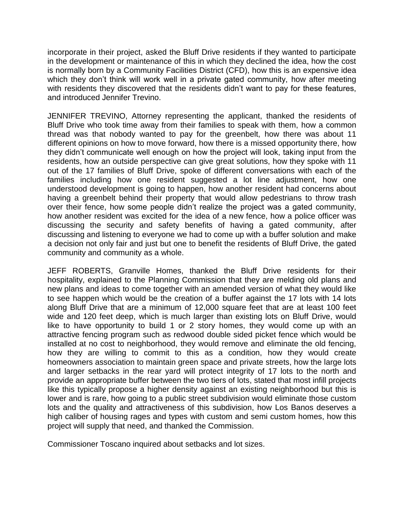incorporate in their project, asked the Bluff Drive residents if they wanted to participate in the development or maintenance of this in which they declined the idea, how the cost is normally born by a Community Facilities District (CFD), how this is an expensive idea which they don't think will work well in a private gated community, how after meeting with residents they discovered that the residents didn't want to pay for these features, and introduced Jennifer Trevino.

JENNIFER TREVINO, Attorney representing the applicant, thanked the residents of Bluff Drive who took time away from their families to speak with them, how a common thread was that nobody wanted to pay for the greenbelt, how there was about 11 different opinions on how to move forward, how there is a missed opportunity there, how they didn't communicate well enough on how the project will look, taking input from the residents, how an outside perspective can give great solutions, how they spoke with 11 out of the 17 families of Bluff Drive, spoke of different conversations with each of the families including how one resident suggested a lot line adjustment, how one understood development is going to happen, how another resident had concerns about having a greenbelt behind their property that would allow pedestrians to throw trash over their fence, how some people didn't realize the project was a gated community, how another resident was excited for the idea of a new fence, how a police officer was discussing the security and safety benefits of having a gated community, after discussing and listening to everyone we had to come up with a buffer solution and make a decision not only fair and just but one to benefit the residents of Bluff Drive, the gated community and community as a whole.

JEFF ROBERTS, Granville Homes, thanked the Bluff Drive residents for their hospitality, explained to the Planning Commission that they are melding old plans and new plans and ideas to come together with an amended version of what they would like to see happen which would be the creation of a buffer against the 17 lots with 14 lots along Bluff Drive that are a minimum of 12,000 square feet that are at least 100 feet wide and 120 feet deep, which is much larger than existing lots on Bluff Drive, would like to have opportunity to build 1 or 2 story homes, they would come up with an attractive fencing program such as redwood double sided picket fence which would be installed at no cost to neighborhood, they would remove and eliminate the old fencing, how they are willing to commit to this as a condition, how they would create homeowners association to maintain green space and private streets, how the large lots and larger setbacks in the rear yard will protect integrity of 17 lots to the north and provide an appropriate buffer between the two tiers of lots, stated that most infill projects like this typically propose a higher density against an existing neighborhood but this is lower and is rare, how going to a public street subdivision would eliminate those custom lots and the quality and attractiveness of this subdivision, how Los Banos deserves a high caliber of housing rages and types with custom and semi custom homes, how this project will supply that need, and thanked the Commission.

Commissioner Toscano inquired about setbacks and lot sizes.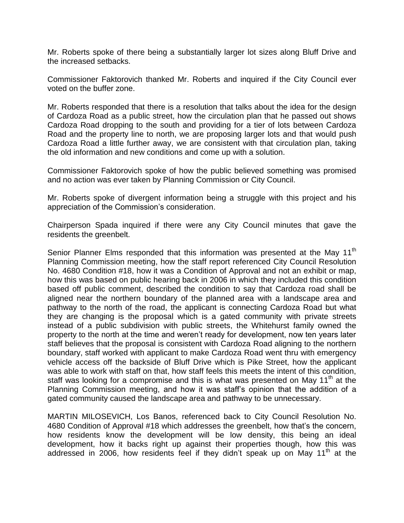Mr. Roberts spoke of there being a substantially larger lot sizes along Bluff Drive and the increased setbacks.

Commissioner Faktorovich thanked Mr. Roberts and inquired if the City Council ever voted on the buffer zone.

Mr. Roberts responded that there is a resolution that talks about the idea for the design of Cardoza Road as a public street, how the circulation plan that he passed out shows Cardoza Road dropping to the south and providing for a tier of lots between Cardoza Road and the property line to north, we are proposing larger lots and that would push Cardoza Road a little further away, we are consistent with that circulation plan, taking the old information and new conditions and come up with a solution.

Commissioner Faktorovich spoke of how the public believed something was promised and no action was ever taken by Planning Commission or City Council.

Mr. Roberts spoke of divergent information being a struggle with this project and his appreciation of the Commission's consideration.

Chairperson Spada inquired if there were any City Council minutes that gave the residents the greenbelt.

Senior Planner Elms responded that this information was presented at the May 11<sup>th</sup> Planning Commission meeting, how the staff report referenced City Council Resolution No. 4680 Condition #18, how it was a Condition of Approval and not an exhibit or map, how this was based on public hearing back in 2006 in which they included this condition based off public comment, described the condition to say that Cardoza road shall be aligned near the northern boundary of the planned area with a landscape area and pathway to the north of the road, the applicant is connecting Cardoza Road but what they are changing is the proposal which is a gated community with private streets instead of a public subdivision with public streets, the Whitehurst family owned the property to the north at the time and weren't ready for development, now ten years later staff believes that the proposal is consistent with Cardoza Road aligning to the northern boundary, staff worked with applicant to make Cardoza Road went thru with emergency vehicle access off the backside of Bluff Drive which is Pike Street, how the applicant was able to work with staff on that, how staff feels this meets the intent of this condition, staff was looking for a compromise and this is what was presented on May 11<sup>th</sup> at the Planning Commission meeting, and how it was staff's opinion that the addition of a gated community caused the landscape area and pathway to be unnecessary.

MARTIN MILOSEVICH, Los Banos, referenced back to City Council Resolution No. 4680 Condition of Approval #18 which addresses the greenbelt, how that's the concern, how residents know the development will be low density, this being an ideal development, how it backs right up against their properties though, how this was addressed in 2006, how residents feel if they didn't speak up on May 11<sup>th</sup> at the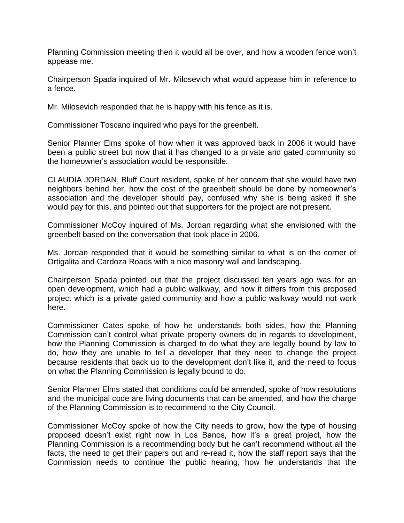Planning Commission meeting then it would all be over, and how a wooden fence won't appease me.

Chairperson Spada inquired of Mr. Milosevich what would appease him in reference to a fence.

Mr. Milosevich responded that he is happy with his fence as it is.

Commissioner Toscano inquired who pays for the greenbelt.

Senior Planner Elms spoke of how when it was approved back in 2006 it would have been a public street but now that it has changed to a private and gated community so the homeowner's association would be responsible.

CLAUDIA JORDAN, Bluff Court resident, spoke of her concern that she would have two neighbors behind her, how the cost of the greenbelt should be done by homeowner's association and the developer should pay, confused why she is being asked if she would pay for this, and pointed out that supporters for the project are not present.

Commissioner McCoy inquired of Ms. Jordan regarding what she envisioned with the greenbelt based on the conversation that took place in 2006.

Ms. Jordan responded that it would be something similar to what is on the corner of Ortigalita and Cardoza Roads with a nice masonry wall and landscaping.

Chairperson Spada pointed out that the project discussed ten years ago was for an open development, which had a public walkway, and how it differs from this proposed project which is a private gated community and how a public walkway would not work here.

Commissioner Cates spoke of how he understands both sides, how the Planning Commission can't control what private property owners do in regards to development, how the Planning Commission is charged to do what they are legally bound by law to do, how they are unable to tell a developer that they need to change the project because residents that back up to the development don't like it, and the need to focus on what the Planning Commission is legally bound to do.

Senior Planner Elms stated that conditions could be amended, spoke of how resolutions and the municipal code are living documents that can be amended, and how the charge of the Planning Commission is to recommend to the City Council.

Commissioner McCoy spoke of how the City needs to grow, how the type of housing proposed doesn't exist right now in Los Banos, how it's a great project, how the Planning Commission is a recommending body but he can't recommend without all the facts, the need to get their papers out and re-read it, how the staff report says that the Commission needs to continue the public hearing, how he understands that the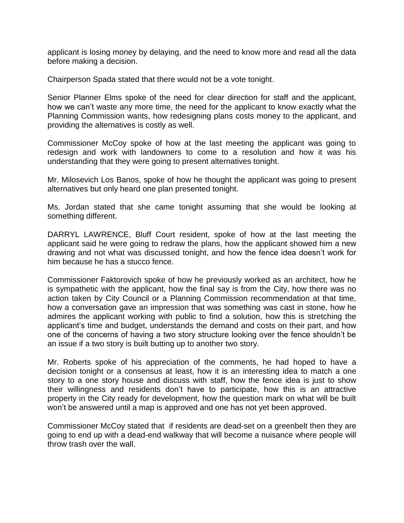applicant is losing money by delaying, and the need to know more and read all the data before making a decision.

Chairperson Spada stated that there would not be a vote tonight.

Senior Planner Elms spoke of the need for clear direction for staff and the applicant, how we can't waste any more time, the need for the applicant to know exactly what the Planning Commission wants, how redesigning plans costs money to the applicant, and providing the alternatives is costly as well.

Commissioner McCoy spoke of how at the last meeting the applicant was going to redesign and work with landowners to come to a resolution and how it was his understanding that they were going to present alternatives tonight.

Mr. Milosevich Los Banos, spoke of how he thought the applicant was going to present alternatives but only heard one plan presented tonight.

Ms. Jordan stated that she came tonight assuming that she would be looking at something different.

DARRYL LAWRENCE, Bluff Court resident, spoke of how at the last meeting the applicant said he were going to redraw the plans, how the applicant showed him a new drawing and not what was discussed tonight, and how the fence idea doesn't work for him because he has a stucco fence.

Commissioner Faktorovich spoke of how he previously worked as an architect, how he is sympathetic with the applicant, how the final say is from the City, how there was no action taken by City Council or a Planning Commission recommendation at that time, how a conversation gave an impression that was something was cast in stone, how he admires the applicant working with public to find a solution, how this is stretching the applicant's time and budget, understands the demand and costs on their part, and how one of the concerns of having a two story structure looking over the fence shouldn't be an issue if a two story is built butting up to another two story.

Mr. Roberts spoke of his appreciation of the comments, he had hoped to have a decision tonight or a consensus at least, how it is an interesting idea to match a one story to a one story house and discuss with staff, how the fence idea is just to show their willingness and residents don't have to participate, how this is an attractive property in the City ready for development, how the question mark on what will be built won't be answered until a map is approved and one has not yet been approved.

Commissioner McCoy stated that if residents are dead-set on a greenbelt then they are going to end up with a dead-end walkway that will become a nuisance where people will throw trash over the wall.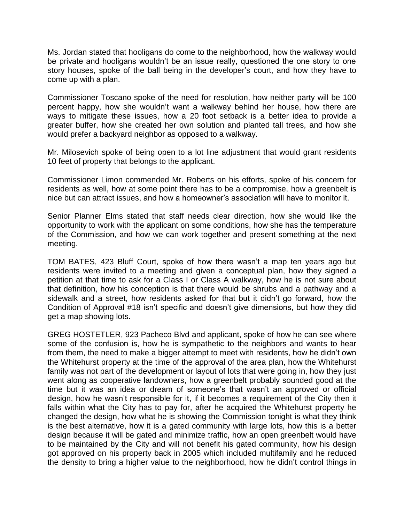Ms. Jordan stated that hooligans do come to the neighborhood, how the walkway would be private and hooligans wouldn't be an issue really, questioned the one story to one story houses, spoke of the ball being in the developer's court, and how they have to come up with a plan.

Commissioner Toscano spoke of the need for resolution, how neither party will be 100 percent happy, how she wouldn't want a walkway behind her house, how there are ways to mitigate these issues, how a 20 foot setback is a better idea to provide a greater buffer, how she created her own solution and planted tall trees, and how she would prefer a backyard neighbor as opposed to a walkway.

Mr. Milosevich spoke of being open to a lot line adjustment that would grant residents 10 feet of property that belongs to the applicant.

Commissioner Limon commended Mr. Roberts on his efforts, spoke of his concern for residents as well, how at some point there has to be a compromise, how a greenbelt is nice but can attract issues, and how a homeowner's association will have to monitor it.

Senior Planner Elms stated that staff needs clear direction, how she would like the opportunity to work with the applicant on some conditions, how she has the temperature of the Commission, and how we can work together and present something at the next meeting.

TOM BATES, 423 Bluff Court, spoke of how there wasn't a map ten years ago but residents were invited to a meeting and given a conceptual plan, how they signed a petition at that time to ask for a Class I or Class A walkway, how he is not sure about that definition, how his conception is that there would be shrubs and a pathway and a sidewalk and a street, how residents asked for that but it didn't go forward, how the Condition of Approval #18 isn't specific and doesn't give dimensions, but how they did get a map showing lots.

GREG HOSTETLER, 923 Pacheco Blvd and applicant, spoke of how he can see where some of the confusion is, how he is sympathetic to the neighbors and wants to hear from them, the need to make a bigger attempt to meet with residents, how he didn't own the Whitehurst property at the time of the approval of the area plan, how the Whitehurst family was not part of the development or layout of lots that were going in, how they just went along as cooperative landowners, how a greenbelt probably sounded good at the time but it was an idea or dream of someone's that wasn't an approved or official design, how he wasn't responsible for it, if it becomes a requirement of the City then it falls within what the City has to pay for, after he acquired the Whitehurst property he changed the design, how what he is showing the Commission tonight is what they think is the best alternative, how it is a gated community with large lots, how this is a better design because it will be gated and minimize traffic, how an open greenbelt would have to be maintained by the City and will not benefit his gated community, how his design got approved on his property back in 2005 which included multifamily and he reduced the density to bring a higher value to the neighborhood, how he didn't control things in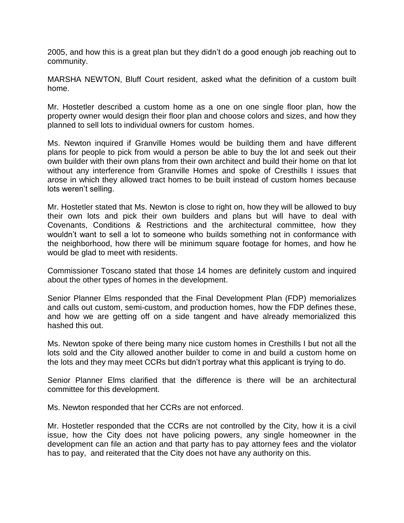2005, and how this is a great plan but they didn't do a good enough job reaching out to community.

MARSHA NEWTON, Bluff Court resident, asked what the definition of a custom built home.

Mr. Hostetler described a custom home as a one on one single floor plan, how the property owner would design their floor plan and choose colors and sizes, and how they planned to sell lots to individual owners for custom homes.

Ms. Newton inquired if Granville Homes would be building them and have different plans for people to pick from would a person be able to buy the lot and seek out their own builder with their own plans from their own architect and build their home on that lot without any interference from Granville Homes and spoke of Cresthills I issues that arose in which they allowed tract homes to be built instead of custom homes because lots weren't selling.

Mr. Hostetler stated that Ms. Newton is close to right on, how they will be allowed to buy their own lots and pick their own builders and plans but will have to deal with Covenants, Conditions & Restrictions and the architectural committee, how they wouldn't want to sell a lot to someone who builds something not in conformance with the neighborhood, how there will be minimum square footage for homes, and how he would be glad to meet with residents.

Commissioner Toscano stated that those 14 homes are definitely custom and inquired about the other types of homes in the development.

Senior Planner Elms responded that the Final Development Plan (FDP) memorializes and calls out custom, semi-custom, and production homes, how the FDP defines these, and how we are getting off on a side tangent and have already memorialized this hashed this out.

Ms. Newton spoke of there being many nice custom homes in Cresthills I but not all the lots sold and the City allowed another builder to come in and build a custom home on the lots and they may meet CCRs but didn't portray what this applicant is trying to do.

Senior Planner Elms clarified that the difference is there will be an architectural committee for this development.

Ms. Newton responded that her CCRs are not enforced.

Mr. Hostetler responded that the CCRs are not controlled by the City, how it is a civil issue, how the City does not have policing powers, any single homeowner in the development can file an action and that party has to pay attorney fees and the violator has to pay, and reiterated that the City does not have any authority on this.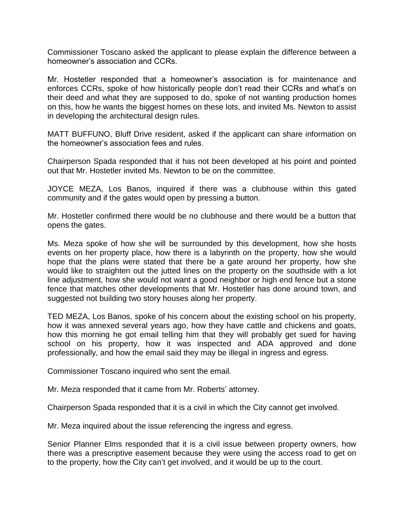Commissioner Toscano asked the applicant to please explain the difference between a homeowner's association and CCRs.

Mr. Hostetler responded that a homeowner's association is for maintenance and enforces CCRs, spoke of how historically people don't read their CCRs and what's on their deed and what they are supposed to do, spoke of not wanting production homes on this, how he wants the biggest homes on these lots, and invited Ms. Newton to assist in developing the architectural design rules.

MATT BUFFUNO, Bluff Drive resident, asked if the applicant can share information on the homeowner's association fees and rules.

Chairperson Spada responded that it has not been developed at his point and pointed out that Mr. Hostetler invited Ms. Newton to be on the committee.

JOYCE MEZA, Los Banos, inquired if there was a clubhouse within this gated community and if the gates would open by pressing a button.

Mr. Hostetler confirmed there would be no clubhouse and there would be a button that opens the gates.

Ms. Meza spoke of how she will be surrounded by this development, how she hosts events on her property place, how there is a labyrinth on the property, how she would hope that the plans were stated that there be a gate around her property, how she would like to straighten out the jutted lines on the property on the southside with a lot line adjustment, how she would not want a good neighbor or high end fence but a stone fence that matches other developments that Mr. Hostetler has done around town, and suggested not building two story houses along her property.

TED MEZA, Los Banos, spoke of his concern about the existing school on his property, how it was annexed several years ago, how they have cattle and chickens and goats, how this morning he got email telling him that they will probably get sued for having school on his property, how it was inspected and ADA approved and done professionally, and how the email said they may be illegal in ingress and egress.

Commissioner Toscano inquired who sent the email.

Mr. Meza responded that it came from Mr. Roberts' attorney.

Chairperson Spada responded that it is a civil in which the City cannot get involved.

Mr. Meza inquired about the issue referencing the ingress and egress.

Senior Planner Elms responded that it is a civil issue between property owners, how there was a prescriptive easement because they were using the access road to get on to the property, how the City can't get involved, and it would be up to the court.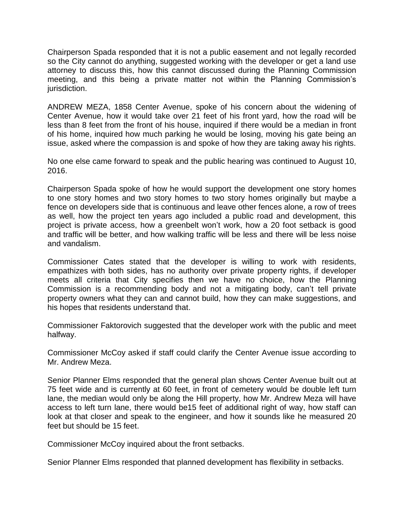Chairperson Spada responded that it is not a public easement and not legally recorded so the City cannot do anything, suggested working with the developer or get a land use attorney to discuss this, how this cannot discussed during the Planning Commission meeting, and this being a private matter not within the Planning Commission's jurisdiction.

ANDREW MEZA, 1858 Center Avenue, spoke of his concern about the widening of Center Avenue, how it would take over 21 feet of his front yard, how the road will be less than 8 feet from the front of his house, inquired if there would be a median in front of his home, inquired how much parking he would be losing, moving his gate being an issue, asked where the compassion is and spoke of how they are taking away his rights.

No one else came forward to speak and the public hearing was continued to August 10, 2016.

Chairperson Spada spoke of how he would support the development one story homes to one story homes and two story homes to two story homes originally but maybe a fence on developers side that is continuous and leave other fences alone, a row of trees as well, how the project ten years ago included a public road and development, this project is private access, how a greenbelt won't work, how a 20 foot setback is good and traffic will be better, and how walking traffic will be less and there will be less noise and vandalism.

Commissioner Cates stated that the developer is willing to work with residents, empathizes with both sides, has no authority over private property rights, if developer meets all criteria that City specifies then we have no choice, how the Planning Commission is a recommending body and not a mitigating body, can't tell private property owners what they can and cannot build, how they can make suggestions, and his hopes that residents understand that.

Commissioner Faktorovich suggested that the developer work with the public and meet halfway.

Commissioner McCoy asked if staff could clarify the Center Avenue issue according to Mr. Andrew Meza.

Senior Planner Elms responded that the general plan shows Center Avenue built out at 75 feet wide and is currently at 60 feet, in front of cemetery would be double left turn lane, the median would only be along the Hill property, how Mr. Andrew Meza will have access to left turn lane, there would be15 feet of additional right of way, how staff can look at that closer and speak to the engineer, and how it sounds like he measured 20 feet but should be 15 feet.

Commissioner McCoy inquired about the front setbacks.

Senior Planner Elms responded that planned development has flexibility in setbacks.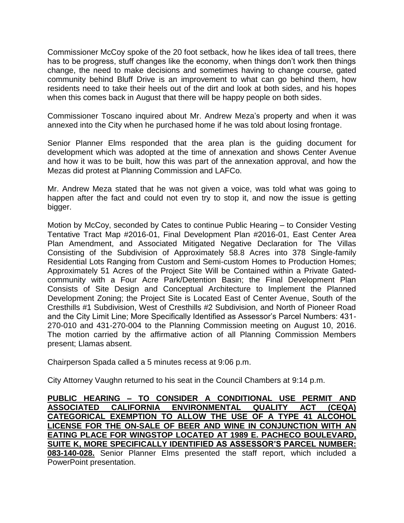Commissioner McCoy spoke of the 20 foot setback, how he likes idea of tall trees, there has to be progress, stuff changes like the economy, when things don't work then things change, the need to make decisions and sometimes having to change course, gated community behind Bluff Drive is an improvement to what can go behind them, how residents need to take their heels out of the dirt and look at both sides, and his hopes when this comes back in August that there will be happy people on both sides.

Commissioner Toscano inquired about Mr. Andrew Meza's property and when it was annexed into the City when he purchased home if he was told about losing frontage.

Senior Planner Elms responded that the area plan is the guiding document for development which was adopted at the time of annexation and shows Center Avenue and how it was to be built, how this was part of the annexation approval, and how the Mezas did protest at Planning Commission and LAFCo.

Mr. Andrew Meza stated that he was not given a voice, was told what was going to happen after the fact and could not even try to stop it, and now the issue is getting bigger.

Motion by McCoy, seconded by Cates to continue Public Hearing – to Consider Vesting Tentative Tract Map #2016-01, Final Development Plan #2016-01, East Center Area Plan Amendment, and Associated Mitigated Negative Declaration for The Villas Consisting of the Subdivision of Approximately 58.8 Acres into 378 Single-family Residential Lots Ranging from Custom and Semi-custom Homes to Production Homes; Approximately 51 Acres of the Project Site Will be Contained within a Private Gatedcommunity with a Four Acre Park/Detention Basin; the Final Development Plan Consists of Site Design and Conceptual Architecture to Implement the Planned Development Zoning; the Project Site is Located East of Center Avenue, South of the Cresthills #1 Subdivision, West of Cresthills #2 Subdivision, and North of Pioneer Road and the City Limit Line; More Specifically Identified as Assessor's Parcel Numbers: 431- 270-010 and 431-270-004 to the Planning Commission meeting on August 10, 2016. The motion carried by the affirmative action of all Planning Commission Members present; Llamas absent.

Chairperson Spada called a 5 minutes recess at 9:06 p.m.

City Attorney Vaughn returned to his seat in the Council Chambers at 9:14 p.m.

**PUBLIC HEARING – TO CONSIDER A CONDITIONAL USE PERMIT AND ASSOCIATED CALIFORNIA ENVIRONMENTAL QUALITY ACT (CEQA) CATEGORICAL EXEMPTION TO ALLOW THE USE OF A TYPE 41 ALCOHOL LICENSE FOR THE ON-SALE OF BEER AND WINE IN CONJUNCTION WITH AN EATING PLACE FOR WINGSTOP LOCATED AT 1989 E. PACHECO BOULEVARD, SUITE K, MORE SPECIFICALLY IDENTIFIED AS ASSESSOR'S PARCEL NUMBER: 083-140-028.** Senior Planner Elms presented the staff report, which included a PowerPoint presentation.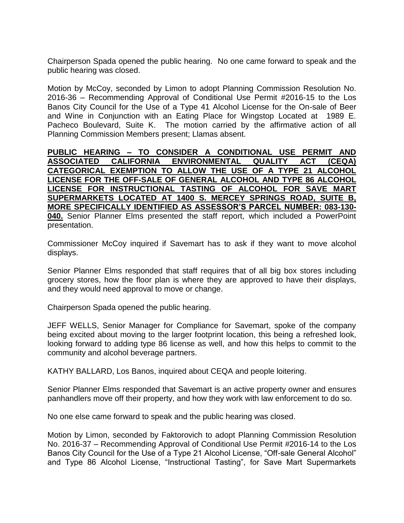Chairperson Spada opened the public hearing. No one came forward to speak and the public hearing was closed.

Motion by McCoy, seconded by Limon to adopt Planning Commission Resolution No. 2016-36 – Recommending Approval of Conditional Use Permit #2016-15 to the Los Banos City Council for the Use of a Type 41 Alcohol License for the On-sale of Beer and Wine in Conjunction with an Eating Place for Wingstop Located at 1989 E. Pacheco Boulevard, Suite K. The motion carried by the affirmative action of all Planning Commission Members present; Llamas absent.

**PUBLIC HEARING – TO CONSIDER A CONDITIONAL USE PERMIT AND ASSOCIATED CALIFORNIA ENVIRONMENTAL QUALITY ACT (CEQA) CATEGORICAL EXEMPTION TO ALLOW THE USE OF A TYPE 21 ALCOHOL LICENSE FOR THE OFF-SALE OF GENERAL ALCOHOL AND TYPE 86 ALCOHOL LICENSE FOR INSTRUCTIONAL TASTING OF ALCOHOL FOR SAVE MART SUPERMARKETS LOCATED AT 1400 S. MERCEY SPRINGS ROAD, SUITE B, MORE SPECIFICALLY IDENTIFIED AS ASSESSOR'S PARCEL NUMBER: 083-130- 040.** Senior Planner Elms presented the staff report, which included a PowerPoint presentation.

Commissioner McCoy inquired if Savemart has to ask if they want to move alcohol displays.

Senior Planner Elms responded that staff requires that of all big box stores including grocery stores, how the floor plan is where they are approved to have their displays, and they would need approval to move or change.

Chairperson Spada opened the public hearing.

JEFF WELLS, Senior Manager for Compliance for Savemart, spoke of the company being excited about moving to the larger footprint location, this being a refreshed look, looking forward to adding type 86 license as well, and how this helps to commit to the community and alcohol beverage partners.

KATHY BALLARD, Los Banos, inquired about CEQA and people loitering.

Senior Planner Elms responded that Savemart is an active property owner and ensures panhandlers move off their property, and how they work with law enforcement to do so.

No one else came forward to speak and the public hearing was closed.

Motion by Limon, seconded by Faktorovich to adopt Planning Commission Resolution No. 2016-37 – Recommending Approval of Conditional Use Permit #2016-14 to the Los Banos City Council for the Use of a Type 21 Alcohol License, "Off-sale General Alcohol" and Type 86 Alcohol License, "Instructional Tasting", for Save Mart Supermarkets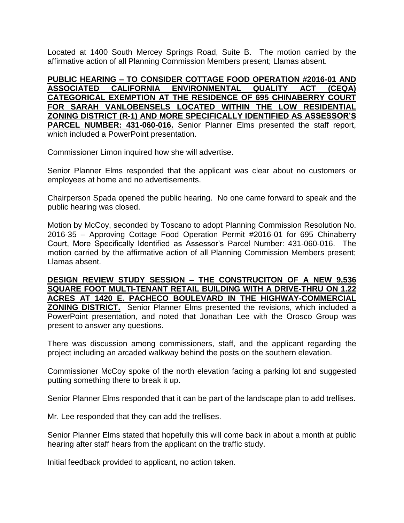Located at 1400 South Mercey Springs Road, Suite B. The motion carried by the affirmative action of all Planning Commission Members present; Llamas absent.

**PUBLIC HEARING – TO CONSIDER COTTAGE FOOD OPERATION #2016-01 AND ASSOCIATED CALIFORNIA ENVIRONMENTAL QUALITY ACT (CEQA) CATEGORICAL EXEMPTION AT THE RESIDENCE OF 695 CHINABERRY COURT FOR SARAH VANLOBENSELS LOCATED WITHIN THE LOW RESIDENTIAL ZONING DISTRICT (R-1) AND MORE SPECIFICALLY IDENTIFIED AS ASSESSOR'S PARCEL NUMBER: 431-060-016.** Senior Planner Elms presented the staff report, which included a PowerPoint presentation.

Commissioner Limon inquired how she will advertise.

Senior Planner Elms responded that the applicant was clear about no customers or employees at home and no advertisements.

Chairperson Spada opened the public hearing. No one came forward to speak and the public hearing was closed.

Motion by McCoy, seconded by Toscano to adopt Planning Commission Resolution No. 2016-35 – Approving Cottage Food Operation Permit #2016-01 for 695 Chinaberry Court, More Specifically Identified as Assessor's Parcel Number: 431-060-016. The motion carried by the affirmative action of all Planning Commission Members present; Llamas absent.

**DESIGN REVIEW STUDY SESSION – THE CONSTRUCITON OF A NEW 9,536 SQUARE FOOT MULTI-TENANT RETAIL BUILDING WITH A DRIVE-THRU ON 1.22 ACRES AT 1420 E. PACHECO BOULEVARD IN THE HIGHWAY-COMMERCIAL ZONING DISTRICT.** Senior Planner Elms presented the revisions, which included a PowerPoint presentation, and noted that Jonathan Lee with the Orosco Group was present to answer any questions.

There was discussion among commissioners, staff, and the applicant regarding the project including an arcaded walkway behind the posts on the southern elevation.

Commissioner McCoy spoke of the north elevation facing a parking lot and suggested putting something there to break it up.

Senior Planner Elms responded that it can be part of the landscape plan to add trellises.

Mr. Lee responded that they can add the trellises.

Senior Planner Elms stated that hopefully this will come back in about a month at public hearing after staff hears from the applicant on the traffic study.

Initial feedback provided to applicant, no action taken.